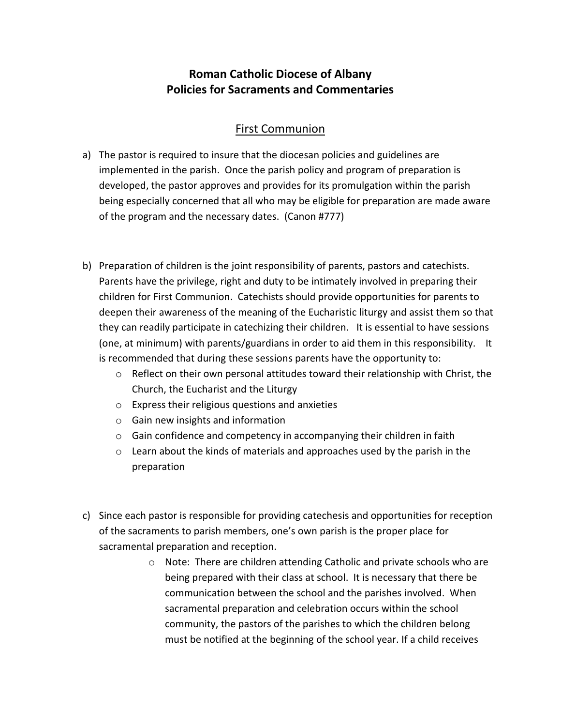## **Roman Catholic Diocese of Albany Policies for Sacraments and Commentaries**

## First Communion

- a) The pastor is required to insure that the diocesan policies and guidelines are implemented in the parish. Once the parish policy and program of preparation is developed, the pastor approves and provides for its promulgation within the parish being especially concerned that all who may be eligible for preparation are made aware of the program and the necessary dates. (Canon #777)
- b) Preparation of children is the joint responsibility of parents, pastors and catechists. Parents have the privilege, right and duty to be intimately involved in preparing their children for First Communion. Catechists should provide opportunities for parents to deepen their awareness of the meaning of the Eucharistic liturgy and assist them so that they can readily participate in catechizing their children. It is essential to have sessions (one, at minimum) with parents/guardians in order to aid them in this responsibility. It is recommended that during these sessions parents have the opportunity to:
	- $\circ$  Reflect on their own personal attitudes toward their relationship with Christ, the Church, the Eucharist and the Liturgy
	- o Express their religious questions and anxieties
	- o Gain new insights and information
	- o Gain confidence and competency in accompanying their children in faith
	- $\circ$  Learn about the kinds of materials and approaches used by the parish in the preparation
- c) Since each pastor is responsible for providing catechesis and opportunities for reception of the sacraments to parish members, one's own parish is the proper place for sacramental preparation and reception.
	- o Note: There are children attending Catholic and private schools who are being prepared with their class at school. It is necessary that there be communication between the school and the parishes involved. When sacramental preparation and celebration occurs within the school community, the pastors of the parishes to which the children belong must be notified at the beginning of the school year. If a child receives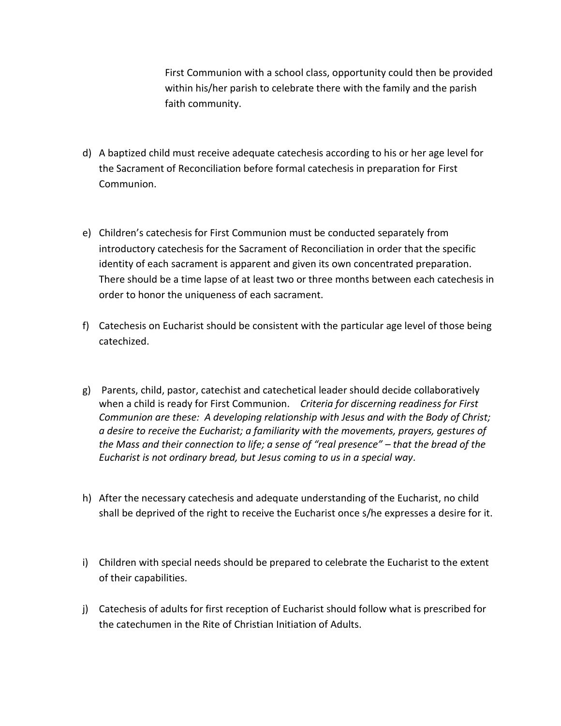First Communion with a school class, opportunity could then be provided within his/her parish to celebrate there with the family and the parish faith community.

- d) A baptized child must receive adequate catechesis according to his or her age level for the Sacrament of Reconciliation before formal catechesis in preparation for First Communion.
- e) Children's catechesis for First Communion must be conducted separately from introductory catechesis for the Sacrament of Reconciliation in order that the specific identity of each sacrament is apparent and given its own concentrated preparation. There should be a time lapse of at least two or three months between each catechesis in order to honor the uniqueness of each sacrament.
- f) Catechesis on Eucharist should be consistent with the particular age level of those being catechized.
- g) Parents, child, pastor, catechist and catechetical leader should decide collaboratively when a child is ready for First Communion. *Criteria for discerning readiness for First Communion are these: A developing relationship with Jesus and with the Body of Christ; a desire to receive the Eucharist; a familiarity with the movements, prayers, gestures of the Mass and their connection to life; a sense of "real presence" – that the bread of the Eucharist is not ordinary bread, but Jesus coming to us in a special way.*
- h) After the necessary catechesis and adequate understanding of the Eucharist, no child shall be deprived of the right to receive the Eucharist once s/he expresses a desire for it.
- i) Children with special needs should be prepared to celebrate the Eucharist to the extent of their capabilities.
- j) Catechesis of adults for first reception of Eucharist should follow what is prescribed for the catechumen in the Rite of Christian Initiation of Adults.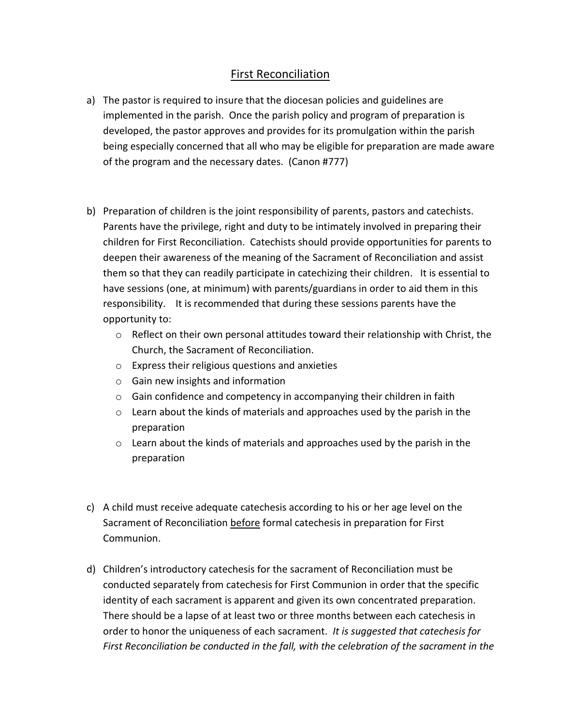## First Reconciliation

- a) The pastor is required to insure that the diocesan policies and guidelines are implemented in the parish. Once the parish policy and program of preparation is developed, the pastor approves and provides for its promulgation within the parish being especially concerned that all who may be eligible for preparation are made aware of the program and the necessary dates. (Canon #777)
- b) Preparation of children is the joint responsibility of parents, pastors and catechists. Parents have the privilege, right and duty to be intimately involved in preparing their children for First Reconciliation. Catechists should provide opportunities for parents to deepen their awareness of the meaning of the Sacrament of Reconciliation and assist them so that they can readily participate in catechizing their children. It is essential to have sessions (one, at minimum) with parents/guardians in order to aid them in this responsibility. It is recommended that during these sessions parents have the opportunity to:
	- $\circ$  Reflect on their own personal attitudes toward their relationship with Christ, the Church, the Sacrament of Reconciliation.
	- o Express their religious questions and anxieties
	- o Gain new insights and information
	- o Gain confidence and competency in accompanying their children in faith
	- $\circ$  Learn about the kinds of materials and approaches used by the parish in the preparation
	- $\circ$  Learn about the kinds of materials and approaches used by the parish in the preparation
- c) A child must receive adequate catechesis according to his or her age level on the Sacrament of Reconciliation before formal catechesis in preparation for First Communion.
- d) Children's introductory catechesis for the sacrament of Reconciliation must be conducted separately from catechesis for First Communion in order that the specific identity of each sacrament is apparent and given its own concentrated preparation. There should be a lapse of at least two or three months between each catechesis in order to honor the uniqueness of each sacrament. *It is suggested that catechesis for First Reconciliation be conducted in the fall, with the celebration of the sacrament in the*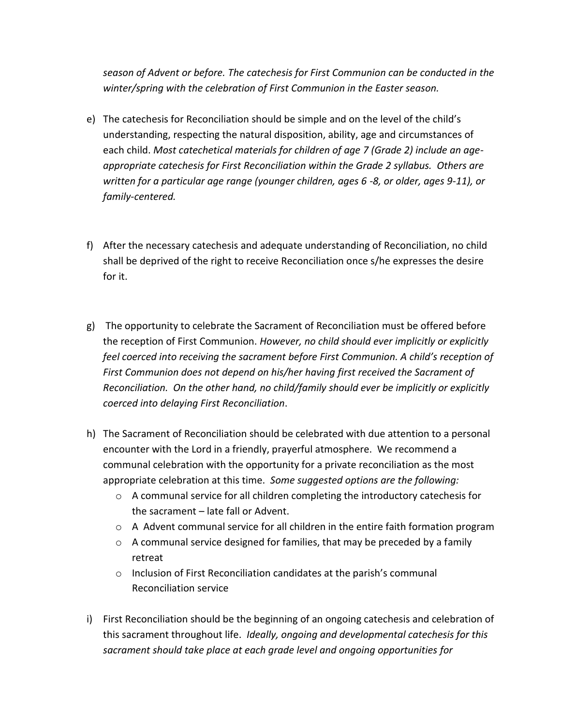*season of Advent or before. The catechesis for First Communion can be conducted in the winter/spring with the celebration of First Communion in the Easter season.*

- e) The catechesis for Reconciliation should be simple and on the level of the child's understanding, respecting the natural disposition, ability, age and circumstances of each child. *Most catechetical materials for children of age 7 (Grade 2) include an ageappropriate catechesis for First Reconciliation within the Grade 2 syllabus. Others are written for a particular age range (younger children, ages 6 -8, or older, ages 9-11), or family-centered.*
- f) After the necessary catechesis and adequate understanding of Reconciliation, no child shall be deprived of the right to receive Reconciliation once s/he expresses the desire for it.
- g) The opportunity to celebrate the Sacrament of Reconciliation must be offered before the reception of First Communion. *However, no child should ever implicitly or explicitly feel coerced into receiving the sacrament before First Communion. A child's reception of First Communion does not depend on his/her having first received the Sacrament of Reconciliation. On the other hand, no child/family should ever be implicitly or explicitly coerced into delaying First Reconciliation*.
- h) The Sacrament of Reconciliation should be celebrated with due attention to a personal encounter with the Lord in a friendly, prayerful atmosphere. We recommend a communal celebration with the opportunity for a private reconciliation as the most appropriate celebration at this time. *Some suggested options are the following:* 
	- $\circ$  A communal service for all children completing the introductory catechesis for the sacrament – late fall or Advent.
	- $\circ$  A Advent communal service for all children in the entire faith formation program
	- $\circ$  A communal service designed for families, that may be preceded by a family retreat
	- o Inclusion of First Reconciliation candidates at the parish's communal Reconciliation service
- i) First Reconciliation should be the beginning of an ongoing catechesis and celebration of this sacrament throughout life. *Ideally, ongoing and developmental catechesis for this sacrament should take place at each grade level and ongoing opportunities for*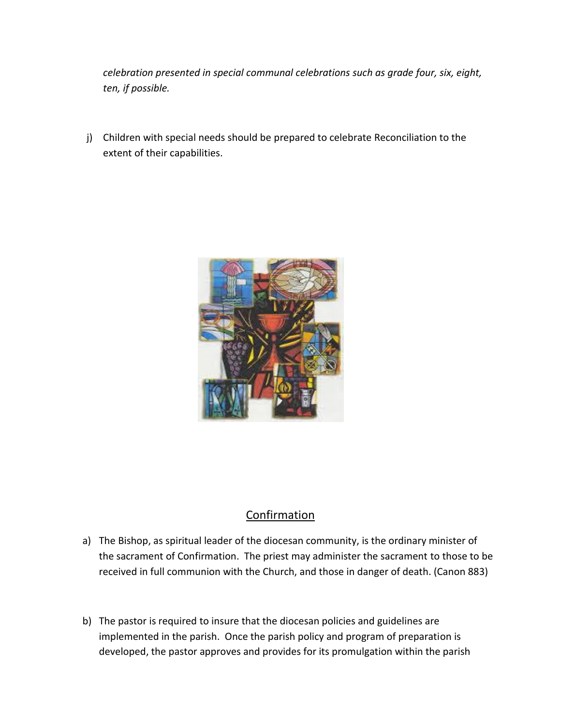*celebration presented in special communal celebrations such as grade four, six, eight, ten, if possible.*

j) Children with special needs should be prepared to celebrate Reconciliation to the extent of their capabilities.



## Confirmation

- a) The Bishop, as spiritual leader of the diocesan community, is the ordinary minister of the sacrament of Confirmation. The priest may administer the sacrament to those to be received in full communion with the Church, and those in danger of death. (Canon 883)
- b) The pastor is required to insure that the diocesan policies and guidelines are implemented in the parish. Once the parish policy and program of preparation is developed, the pastor approves and provides for its promulgation within the parish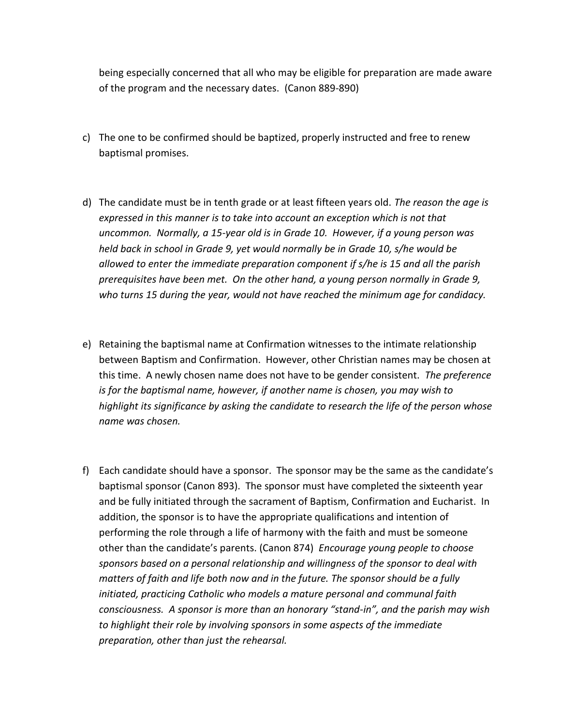being especially concerned that all who may be eligible for preparation are made aware of the program and the necessary dates. (Canon 889-890)

- c) The one to be confirmed should be baptized, properly instructed and free to renew baptismal promises.
- d) The candidate must be in tenth grade or at least fifteen years old. *The reason the age is expressed in this manner is to take into account an exception which is not that uncommon. Normally, a 15-year old is in Grade 10. However, if a young person was held back in school in Grade 9, yet would normally be in Grade 10, s/he would be allowed to enter the immediate preparation component if s/he is 15 and all the parish prerequisites have been met. On the other hand, a young person normally in Grade 9, who turns 15 during the year, would not have reached the minimum age for candidacy.*
- e) Retaining the baptismal name at Confirmation witnesses to the intimate relationship between Baptism and Confirmation. However, other Christian names may be chosen at this time. A newly chosen name does not have to be gender consistent. *The preference is for the baptismal name, however, if another name is chosen, you may wish to highlight its significance by asking the candidate to research the life of the person whose name was chosen.*
- f) Each candidate should have a sponsor. The sponsor may be the same as the candidate's baptismal sponsor (Canon 893). The sponsor must have completed the sixteenth year and be fully initiated through the sacrament of Baptism, Confirmation and Eucharist. In addition, the sponsor is to have the appropriate qualifications and intention of performing the role through a life of harmony with the faith and must be someone other than the candidate's parents. (Canon 874) *Encourage young people to choose sponsors based on a personal relationship and willingness of the sponsor to deal with matters of faith and life both now and in the future. The sponsor should be a fully initiated, practicing Catholic who models a mature personal and communal faith consciousness. A sponsor is more than an honorary "stand-in", and the parish may wish to highlight their role by involving sponsors in some aspects of the immediate preparation, other than just the rehearsal.*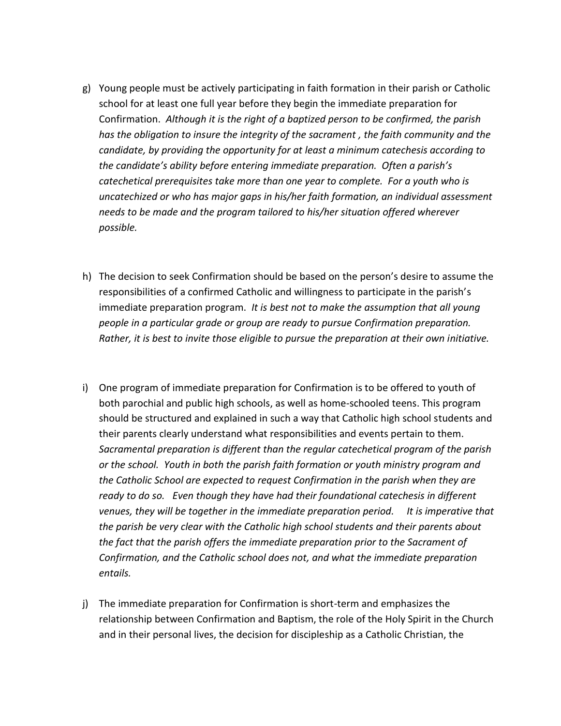- g) Young people must be actively participating in faith formation in their parish or Catholic school for at least one full year before they begin the immediate preparation for Confirmation. *Although it is the right of a baptized person to be confirmed, the parish has the obligation to insure the integrity of the sacrament , the faith community and the candidate, by providing the opportunity for at least a minimum catechesis according to the candidate's ability before entering immediate preparation. Often a parish's catechetical prerequisites take more than one year to complete. For a youth who is uncatechized or who has major gaps in his/her faith formation, an individual assessment needs to be made and the program tailored to his/her situation offered wherever possible.*
- h) The decision to seek Confirmation should be based on the person's desire to assume the responsibilities of a confirmed Catholic and willingness to participate in the parish's immediate preparation program. *It is best not to make the assumption that all young people in a particular grade or group are ready to pursue Confirmation preparation. Rather, it is best to invite those eligible to pursue the preparation at their own initiative.*
- i) One program of immediate preparation for Confirmation is to be offered to youth of both parochial and public high schools, as well as home-schooled teens. This program should be structured and explained in such a way that Catholic high school students and their parents clearly understand what responsibilities and events pertain to them. *Sacramental preparation is different than the regular catechetical program of the parish or the school. Youth in both the parish faith formation or youth ministry program and the Catholic School are expected to request Confirmation in the parish when they are ready to do so. Even though they have had their foundational catechesis in different venues, they will be together in the immediate preparation period. It is imperative that the parish be very clear with the Catholic high school students and their parents about the fact that the parish offers the immediate preparation prior to the Sacrament of Confirmation, and the Catholic school does not, and what the immediate preparation entails.*
- j) The immediate preparation for Confirmation is short-term and emphasizes the relationship between Confirmation and Baptism, the role of the Holy Spirit in the Church and in their personal lives, the decision for discipleship as a Catholic Christian, the